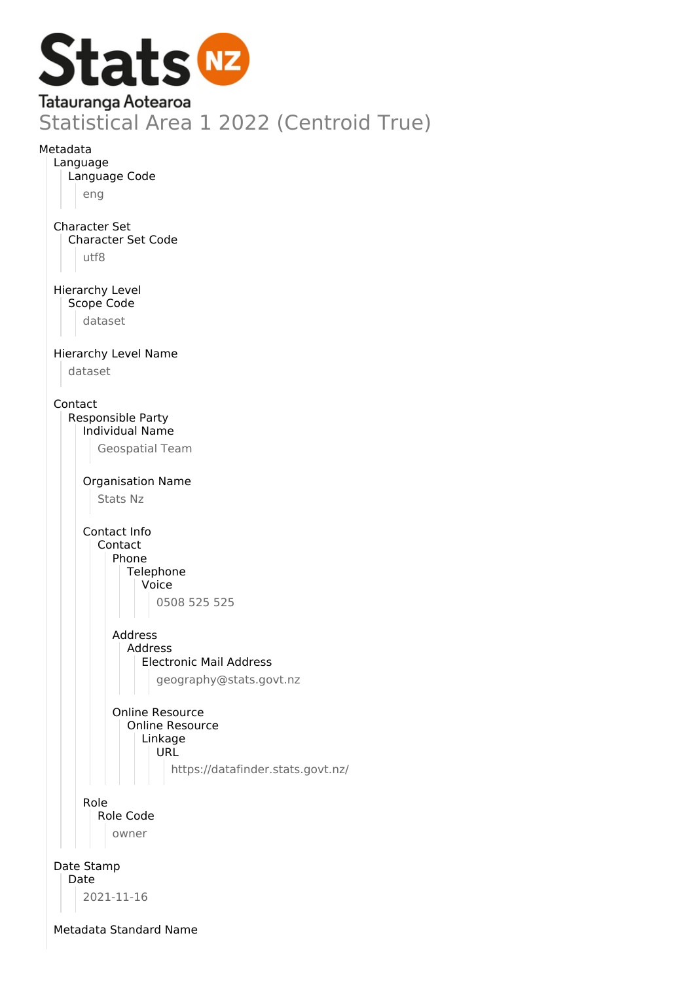

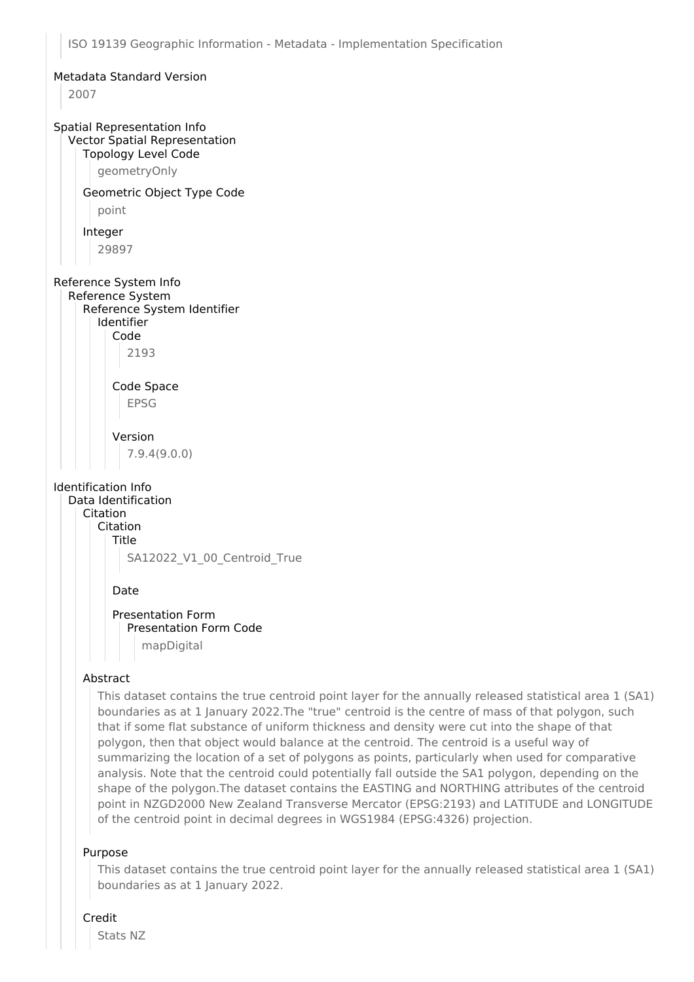#### Metadata Standard Version

2007

## Spatial Representation Info Vector Spatial Representation

Topology Level Code

geometryOnly

# Geometric Object Type Code

point

#### Integer

29897

# Reference System Info

Reference System Reference System Identifier Identifier Code

2193

# Code Space EPSG

Version 7.9.4(9.0.0)

#### Identification Info

Data Identification Citation Citation Title SA12022\_V1\_00\_Centroid\_True

#### Date

Presentation Form Presentation Form Code mapDigital

## Abstract

This dataset contains the true centroid point layer for the annually released statistical area 1 (SA1) boundaries as at 1 January 2022.The "true" centroid is the centre of mass of that polygon, such that if some flat substance of uniform thickness and density were cut into the shape of that polygon, then that object would balance at the centroid. The centroid is a useful way of summarizing the location of a set of polygons as points, particularly when used for comparative analysis. Note that the centroid could potentially fall outside the SA1 polygon, depending on the shape of the polygon.The dataset contains the EASTING and NORTHING attributes of the centroid point in NZGD2000 New Zealand Transverse Mercator (EPSG:2193) and LATITUDE and LONGITUDE of the centroid point in decimal degrees in WGS1984 (EPSG:4326) projection.

## Purpose

This dataset contains the true centroid point layer for the annually released statistical area 1 (SA1) boundaries as at 1 January 2022.

## Credit

Stats NZ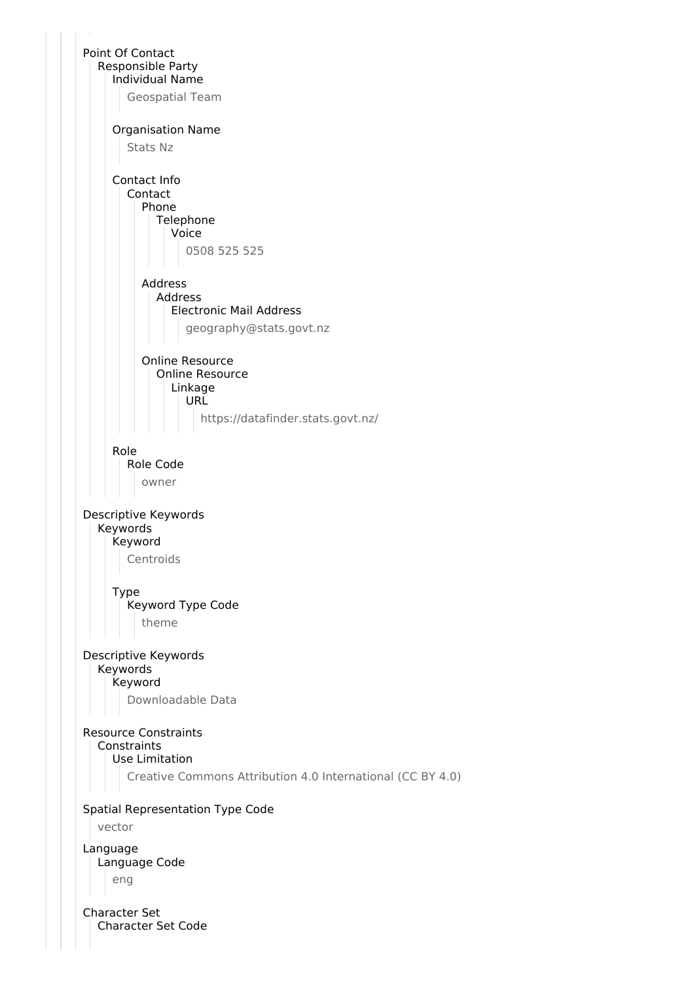